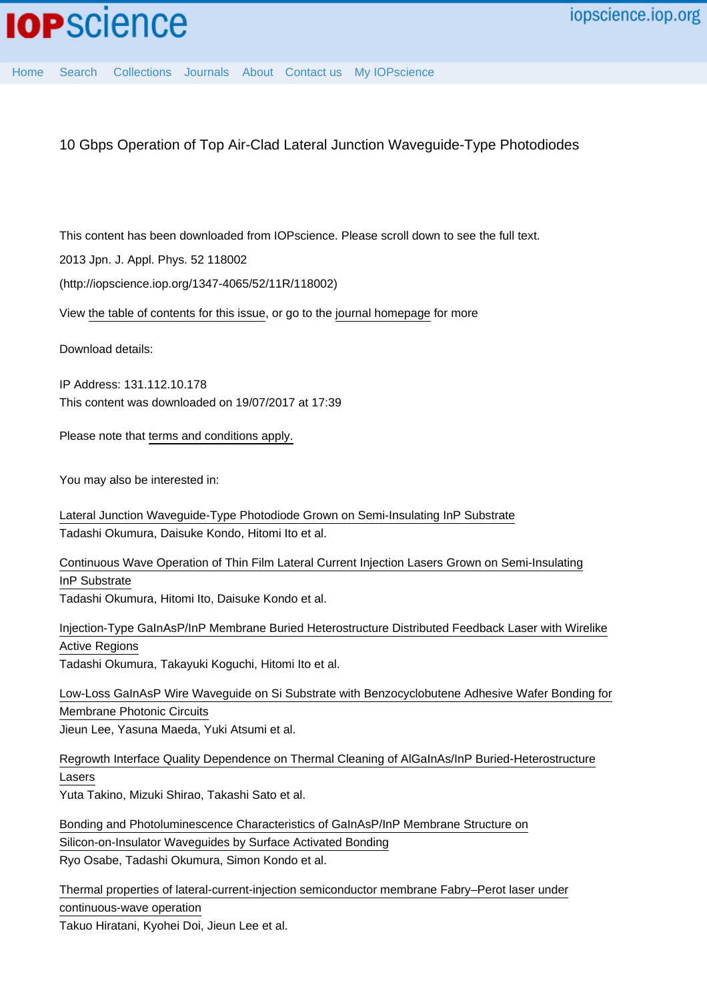10 Gbps Operation of Top Air-Clad Lateral Junction Waveguide-Type Photodiodes

This content has been downloaded from IOPscience. Please scroll down to see the full text.

2013 Jpn. J. Appl. Phys. 52 118002

(http://iopscience.iop.org/1347-4065/52/11R/118002)

View [the table of contents for this issue](http://iopscience.iop.org/1347-4065/52/11R), or go to the [journal homepage](http://iopscience.iop.org/1347-4065) for more

Download details:

IP Address: 131.112.10.178 This content was downloaded on 19/07/2017 at 17:39

Please note that [terms and conditions apply.](http://iopscience.iop.org/page/terms)

You may also be interested in:

[Lateral Junction Waveguide-Type Photodiode Grown on Semi-Insulating InP Substrate](http://iopscience.iop.org/article/10.1143/JJAP.50.020206) Tadashi Okumura, Daisuke Kondo, Hitomi Ito et al.

[Continuous Wave Operation of Thin Film Lateral Current Injection Lasers Grown on Semi-Insulating](http://iopscience.iop.org/article/10.1143/JJAP.49.040205) [InP Substrate](http://iopscience.iop.org/article/10.1143/JJAP.49.040205)

Tadashi Okumura, Hitomi Ito, Daisuke Kondo et al.

[Injection-Type GaInAsP/InP Membrane Buried Heterostructure Distributed Feedback Laser with Wirelike](http://iopscience.iop.org/article/10.1143/APEX.4.042101) [Active Regions](http://iopscience.iop.org/article/10.1143/APEX.4.042101) Tadashi Okumura, Takayuki Koguchi, Hitomi Ito et al.

[Low-Loss GaInAsP Wire Waveguide on Si Substrate with Benzocyclobutene Adhesive Wafer Bonding for](http://iopscience.iop.org/article/10.1143/JJAP.51.042201) [Membrane Photonic Circuits](http://iopscience.iop.org/article/10.1143/JJAP.51.042201) Jieun Lee, Yasuna Maeda, Yuki Atsumi et al.

[Regrowth Interface Quality Dependence on Thermal Cleaning of AlGaInAs/InP Buried-Heterostructure](http://iopscience.iop.org/article/10.1143/JJAP.50.070203) [Lasers](http://iopscience.iop.org/article/10.1143/JJAP.50.070203)

Yuta Takino, Mizuki Shirao, Takashi Sato et al.

[Bonding and Photoluminescence Characteristics of GaInAsP/InP Membrane Structure on](http://iopscience.iop.org/article/10.1143/JJAP.50.088005) [Silicon-on-Insulator Waveguides by Surface Activated Bonding](http://iopscience.iop.org/article/10.1143/JJAP.50.088005) Ryo Osabe, Tadashi Okumura, Simon Kondo et al.

[Thermal properties of lateral-current-injection semiconductor membrane Fabry–Perot laser under](http://iopscience.iop.org/article/10.7567/JJAP.54.042701) [continuous-wave operation](http://iopscience.iop.org/article/10.7567/JJAP.54.042701)

Takuo Hiratani, Kyohei Doi, Jieun Lee et al.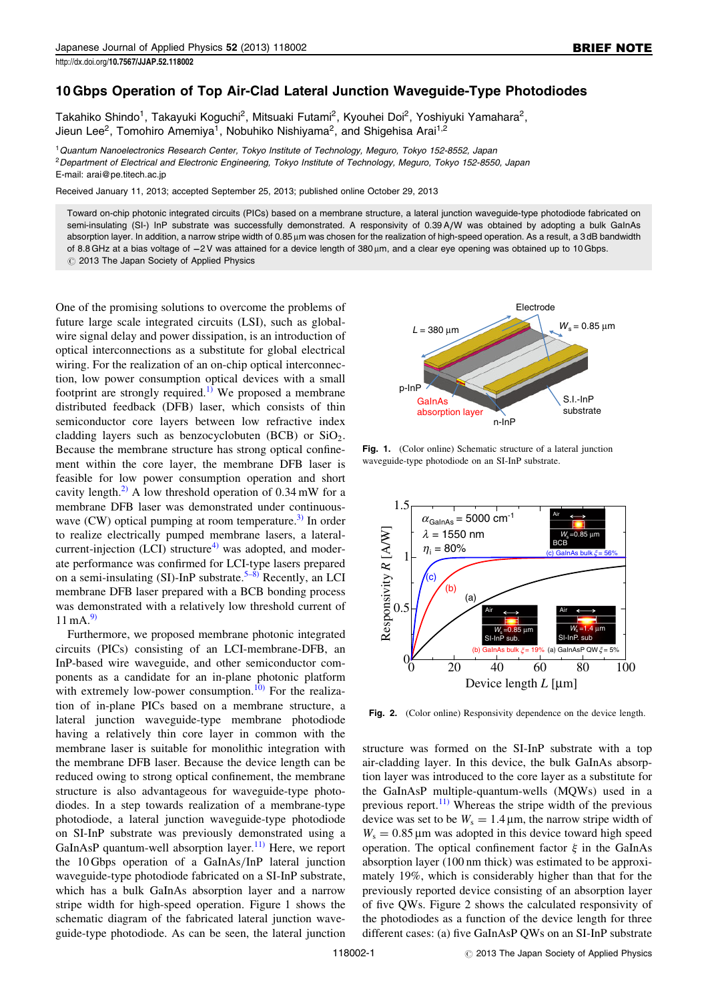## 10 Gbps Operation of Top Air-Clad Lateral Junction Waveguide-Type Photodiodes

Takahiko Shindo<sup>1</sup>, Takayuki Koguchi<sup>2</sup>, Mitsuaki Futami<sup>2</sup>, Kyouhei Doi<sup>2</sup>, Yoshiyuki Yamahara<sup>2</sup>, Jieun Lee<sup>2</sup>, Tomohiro Amemiya<sup>1</sup>, Nobuhiko Nishiyama<sup>2</sup>, and Shigehisa Arai<sup>1,2</sup>

<sup>1</sup>Quantum Nanoelectronics Research Center, Tokyo Institute of Technology, Meguro, Tokyo 152-8552, Japan <sup>2</sup>Department of Electrical and Electronic Engineering, Tokyo Institute of Technology, Meguro, Tokyo 152-8550, Japan E-mail: arai@pe.titech.ac.jp

Received January 11, 2013; accepted September 25, 2013; published online October 29, 2013

Toward on-chip photonic integrated circuits (PICs) based on a membrane structure, a lateral junction waveguide-type photodiode fabricated on semi-insulating (SI-) InP substrate was successfully demonstrated. A responsivity of 0.39 A/W was obtained by adopting a bulk GaInAs absorption layer. In addition, a narrow stripe width of 0.85 um was chosen for the realization of high-speed operation. As a result, a 3 dB bandwidth of 8.8 GHz at a bias voltage of -2V was attained for a device length of 380 µm, and a clear eye opening was obtained up to 10 Gbps.  $\oslash$  2013 The Japan Society of Applied Physics

One of the promising solutions to overcome the problems of future large scale integrated circuits (LSI), such as globalwire signal delay and power dissipation, is an introduction of optical interconnections as a substitute for global electrical wiring. For the realization of an on-chip optical interconnection, low power consumption optical devices with a small footprint are strongly required.<sup>[1\)](#page-3-0)</sup> We proposed a membrane distributed feedback (DFB) laser, which consists of thin semiconductor core layers between low refractive index cladding layers such as benzocyclobuten (BCB) or  $SiO<sub>2</sub>$ . Because the membrane structure has strong optical confinement within the core layer, the membrane DFB laser is feasible for low power consumption operation and short cavity length.<sup>2)</sup> A low threshold operation of  $0.34 \text{ mW}$  for a membrane DFB laser was demonstrated under continuouswave  $(CW)$  optical pumping at room temperature.<sup>[3\)](#page-3-0)</sup> In order to realize electrically pumped membrane lasers, a lateralcurrent-injection  $(LCI)$  structure<sup>[4\)](#page-3-0)</sup> was adopted, and moderate performance was confirmed for LCI-type lasers prepared on a semi-insulating (SI)-InP substrate.<sup>[5–8\)](#page-3-0)</sup> Recently, an LCI membrane DFB laser prepared with a BCB bonding process was demonstrated with a relatively low threshold current of  $11 \text{ mA}^{9}$ .

Furthermore, we proposed membrane photonic integrated circuits (PICs) consisting of an LCI-membrane-DFB, an InP-based wire waveguide, and other semiconductor components as a candidate for an in-plane photonic platform with extremely low-power consumption.<sup>[10\)](#page-3-0)</sup> For the realization of in-plane PICs based on a membrane structure, a lateral junction waveguide-type membrane photodiode having a relatively thin core layer in common with the membrane laser is suitable for monolithic integration with the membrane DFB laser. Because the device length can be reduced owing to strong optical confinement, the membrane structure is also advantageous for waveguide-type photodiodes. In a step towards realization of a membrane-type photodiode, a lateral junction waveguide-type photodiode on SI-InP substrate was previously demonstrated using a GaInAsP quantum-well absorption layer.<sup>[11\)](#page-3-0)</sup> Here, we report the 10 Gbps operation of a GaInAs/InP lateral junction waveguide-type photodiode fabricated on a SI-InP substrate, which has a bulk GaInAs absorption layer and a narrow stripe width for high-speed operation. Figure 1 shows the schematic diagram of the fabricated lateral junction waveguide-type photodiode. As can be seen, the lateral junction



Fig. 1. (Color online) Schematic structure of a lateral junction waveguide-type photodiode on an SI-InP substrate.



Fig. 2. (Color online) Responsivity dependence on the device length.

structure was formed on the SI-InP substrate with a top air-cladding layer. In this device, the bulk GaInAs absorption layer was introduced to the core layer as a substitute for the GaInAsP multiple-quantum-wells (MQWs) used in a previous report. $11)$  Whereas the stripe width of the previous device was set to be  $W_s = 1.4 \,\mu\text{m}$ , the narrow stripe width of  $W_s = 0.85 \,\mu m$  was adopted in this device toward high speed operation. The optical confinement factor  $\xi$  in the GaInAs absorption layer (100 nm thick) was estimated to be approximately 19%, which is considerably higher than that for the previously reported device consisting of an absorption layer of five QWs. Figure 2 shows the calculated responsivity of the photodiodes as a function of the device length for three different cases: (a) five GaInAsP QWs on an SI-InP substrate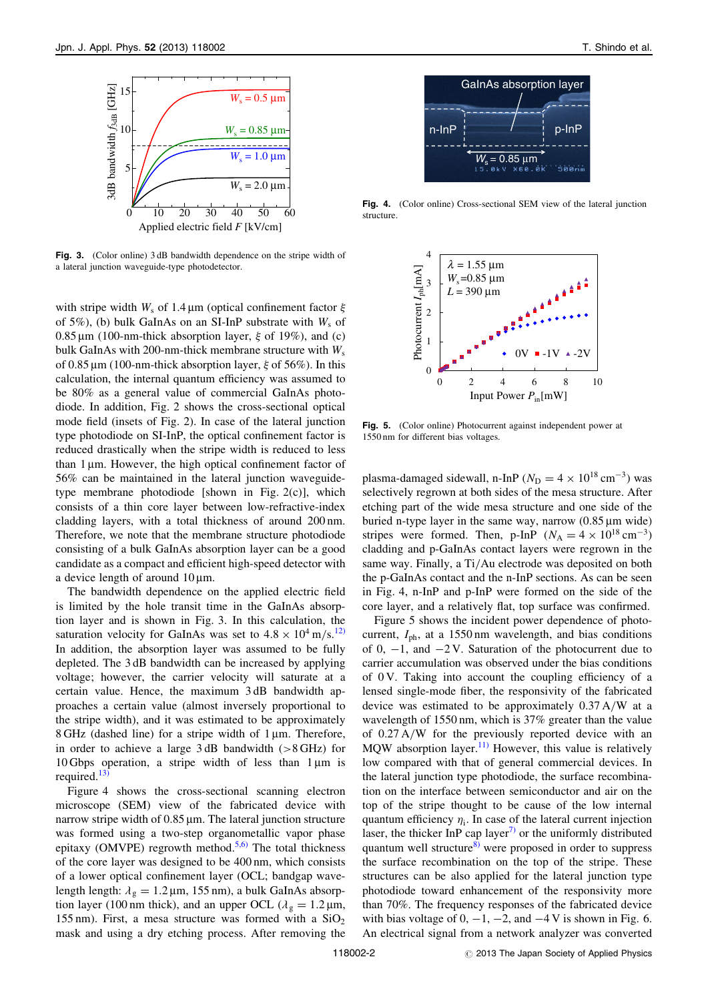

Fig. 3. (Color online) 3 dB bandwidth dependence on the stripe width of a lateral junction waveguide-type photodetector.

with stripe width  $W_s$  of 1.4  $\mu$ m (optical confinement factor  $\xi$ of 5%), (b) bulk GaInAs on an SI-InP substrate with  $W_s$  of  $0.85 \,\mu\text{m}$  (100-nm-thick absorption layer,  $\xi$  of 19%), and (c) bulk GaInAs with 200-nm-thick membrane structure with  $W_s$ of 0.85  $\mu$ m (100-nm-thick absorption layer,  $\xi$  of 56%). In this calculation, the internal quantum efficiency was assumed to be 80% as a general value of commercial GaInAs photodiode. In addition, Fig. 2 shows the cross-sectional optical mode field (insets of Fig. 2). In case of the lateral junction type photodiode on SI-InP, the optical confinement factor is reduced drastically when the stripe width is reduced to less than  $1 \mu$ m. However, the high optical confinement factor of 56% can be maintained in the lateral junction waveguidetype membrane photodiode [shown in Fig. 2(c)], which consists of a thin core layer between low-refractive-index cladding layers, with a total thickness of around 200 nm. Therefore, we note that the membrane structure photodiode consisting of a bulk GaInAs absorption layer can be a good candidate as a compact and efficient high-speed detector with a device length of around  $10 \mu m$ .

The bandwidth dependence on the applied electric field is limited by the hole transit time in the GaInAs absorption layer and is shown in Fig. 3. In this calculation, the saturation velocity for GaInAs was set to  $4.8 \times 10^4$  m/s.<sup>[12\)](#page-3-0)</sup> In addition, the absorption layer was assumed to be fully depleted. The 3 dB bandwidth can be increased by applying voltage; however, the carrier velocity will saturate at a certain value. Hence, the maximum 3 dB bandwidth approaches a certain value (almost inversely proportional to the stripe width), and it was estimated to be approximately 8 GHz (dashed line) for a stripe width of  $1 \mu m$ . Therefore, in order to achieve a large  $3 dB$  bandwidth ( $>8 GHz$ ) for 10 Gbps operation, a stripe width of less than  $1 \mu m$  is required. $^{13)}$  $^{13)}$  $^{13)}$ 

Figure 4 shows the cross-sectional scanning electron microscope (SEM) view of the fabricated device with narrow stripe width of  $0.85 \mu m$ . The lateral junction structure was formed using a two-step organometallic vapor phase epitaxy (OMVPE) regrowth method.<sup>[5,6\)](#page-3-0)</sup> The total thickness of the core layer was designed to be 400 nm, which consists of a lower optical confinement layer (OCL; bandgap wavelength length:  $\lambda_g = 1.2 \,\mu\text{m}$ , 155 nm), a bulk GaInAs absorption layer (100 nm thick), and an upper OCL ( $\lambda_{\rm g} = 1.2 \,\mu$ m, 155 nm). First, a mesa structure was formed with a  $SiO<sub>2</sub>$ mask and using a dry etching process. After removing the



Fig. 4. (Color online) Cross-sectional SEM view of the lateral junction structure.



Fig. 5. (Color online) Photocurrent against independent power at 1550 nm for different bias voltages.

plasma-damaged sidewall, n-InP ( $N_D = 4 \times 10^{18}$  cm<sup>-3</sup>) was selectively regrown at both sides of the mesa structure. After etching part of the wide mesa structure and one side of the buried n-type layer in the same way, narrow  $(0.85 \,\mu m)$  wide) stripes were formed. Then, p-InP  $(N_A = 4 \times 10^{18} \text{ cm}^{-3})$ cladding and p-GaInAs contact layers were regrown in the same way. Finally, a Ti/Au electrode was deposited on both the p-GaInAs contact and the n-InP sections. As can be seen in Fig. 4, n-InP and p-InP were formed on the side of the core layer, and a relatively flat, top surface was confirmed.

Figure 5 shows the incident power dependence of photocurrent,  $I_{\text{ph}}$ , at a 1550 nm wavelength, and bias conditions of 0,  $-1$ , and  $-2V$ . Saturation of the photocurrent due to carrier accumulation was observed under the bias conditions of  $0$  V. Taking into account the coupling efficiency of a lensed single-mode fiber, the responsivity of the fabricated device was estimated to be approximately 0.37 A/W at a wavelength of 1550 nm, which is 37% greater than the value of 0.27 A/W for the previously reported device with an MQW absorption layer.<sup>[11\)](#page-3-0)</sup> However, this value is relatively low compared with that of general commercial devices. In the lateral junction type photodiode, the surface recombination on the interface between semiconductor and air on the top of the stripe thought to be cause of the low internal quantum efficiency  $\eta_i$ . In case of the lateral current injection laser, the thicker InP cap layer<sup>[7\)](#page-3-0)</sup> or the uniformly distributed quantum well structure<sup>[8\)](#page-3-0)</sup> were proposed in order to suppress the surface recombination on the top of the stripe. These structures can be also applied for the lateral junction type photodiode toward enhancement of the responsivity more than 70%. The frequency responses of the fabricated device with bias voltage of 0,  $-1$ ,  $-2$ , and  $-4$  V is shown in Fig. 6. An electrical signal from a network analyzer was converted